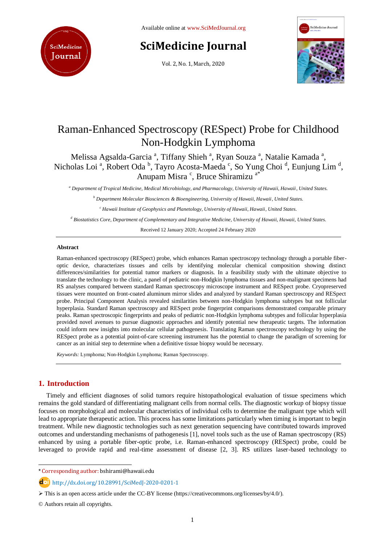

Available online at [www.SciMedJournal.org](http://www.scimedjournal.org/)

# **SciMedicine Journal**

Vol. 2, No. 1, March, 2020



# Raman-Enhanced Spectroscopy (RESpect) Probe for Childhood Non-Hodgkin Lymphoma

Melissa Agsalda-Garcia<sup>a</sup>, Tiffany Shieh<sup>a</sup>, Ryan Souza<sup>a</sup>, Natalie Kamada<sup>a</sup>, Nicholas Loi<sup>a</sup>, Robert Oda<sup>b</sup>, Tayro Acosta-Maeda<sup>c</sup>, So Yung Choi<sup>d</sup>, Eunjung Lim<sup>d</sup>, Anupam Misra<sup>c</sup>, Bruce Shiramizu<sup>a\*</sup>

*<sup>a</sup> Department of Tropical Medicine, Medical Microbiology, and Pharmacology, University of Hawaii, Hawaii, United States.*

*<sup>b</sup> Department Molecular Biosciences & Bioengineering, University of Hawaii, Hawaii, United States.*

*<sup>c</sup> Hawaii Institute of Geophysics and Planetology, University of Hawaii, Hawaii, United States.*

*<sup>d</sup> Biostatistics Core, Department of Complementary and Integrative Medicine, University of Hawaii, Hawaii, United States.*

Received 12 January 2020; Accepted 24 February 2020

#### **Abstract**

Raman-enhanced spectroscopy (RESpect) probe, which enhances Raman spectroscopy technology through a portable fiberoptic device, characterizes tissues and cells by identifying molecular chemical composition showing distinct differences/similarities for potential tumor markers or diagnosis. In a feasibility study with the ultimate objective to translate the technology to the clinic, a panel of pediatric non-Hodgkin lymphoma tissues and non-malignant specimens had RS analyses compared between standard Raman spectroscopy microscope instrument and RESpect probe. Cryopreserved tissues were mounted on front-coated aluminum mirror slides and analyzed by standard Raman spectroscopy and RESpect probe. Principal Component Analysis revealed similarities between non-Hodgkin lymphoma subtypes but not follicular hyperplasia. Standard Raman spectroscopy and RESpect probe fingerprint comparisons demonstrated comparable primary peaks. Raman spectroscopic fingerprints and peaks of pediatric non-Hodgkin lymphoma subtypes and follicular hyperplasia provided novel avenues to pursue diagnostic approaches and identify potential new therapeutic targets. The information could inform new insights into molecular cellular pathogenesis. Translating Raman spectroscopy technology by using the RESpect probe as a potential point-of-care screening instrument has the potential to change the paradigm of screening for cancer as an initial step to determine when a definitive tissue biopsy would be necessary.

*Keywords:* Lymphoma; Non-Hodgkin Lymphoma; Raman Spectroscopy.

### **1. Introduction**

l

Timely and efficient diagnoses of solid tumors require histopathological evaluation of tissue specimens which remains the gold standard of differentiating malignant cells from normal cells. The diagnostic workup of biopsy tissue focuses on morphological and molecular characteristics of individual cells to determine the malignant type which will lead to appropriate therapeutic action. This process has some limitations particularly when timing is important to begin treatment. While new diagnostic technologies such as next generation sequencing have contributed towards improved outcomes and understanding mechanisms of pathogenesis [1], novel tools such as the use of Raman spectroscopy (RS) enhanced by using a portable fiber-optic probe, i.e. Raman-enhanced spectroscopy (RESpect) probe, could be leveraged to provide rapid and real-time assessment of disease [2, 3]. RS utilizes laser-based technology to

<sup>\*</sup> Corresponding author: bshirami@hawaii.edu

http://dx.doi.org/10.28991/SciMedJ-2020-0201-1

 $\triangleright$  This is an open access article under the CC-BY license [\(https://creativecommons.org/licenses/by/4.0/\)](https://creativecommons.org/licenses/by/4.0/).

<sup>©</sup> Authors retain all copyrights.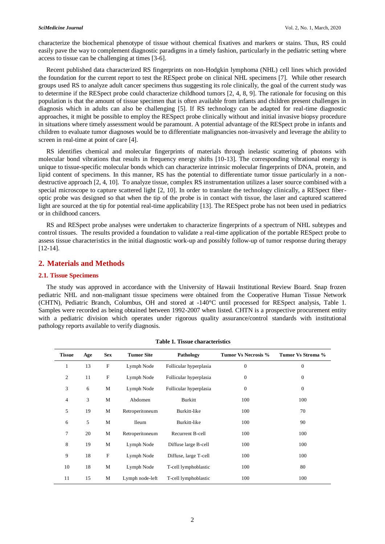characterize the biochemical phenotype of tissue without chemical fixatives and markers or stains. Thus, RS could easily pave the way to complement diagnostic paradigms in a timely fashion, particularly in the pediatric setting where access to tissue can be challenging at times [3-6].

Recent published data characterized RS fingerprints on non-Hodgkin lymphoma (NHL) cell lines which provided the foundation for the current report to test the RESpect probe on clinical NHL specimens [7]. While other research groups used RS to analyze adult cancer specimens thus suggesting its role clinically, the goal of the current study was to determine if the RESpect probe could characterize childhood tumors [2, 4, 8, 9]. The rationale for focusing on this population is that the amount of tissue specimen that is often available from infants and children present challenges in diagnosis which in adults can also be challenging [5]. If RS technology can be adapted for real-time diagnostic approaches, it might be possible to employ the RESpect probe clinically without and initial invasive biopsy procedure in situations where timely assessment would be paramount. A potential advantage of the RESpect probe in infants and children to evaluate tumor diagnoses would be to differentiate malignancies non-invasively and leverage the ability to screen in real-time at point of care [4].

RS identifies chemical and molecular fingerprints of materials through inelastic scattering of photons with molecular bond vibrations that results in frequency energy shifts [10-13]. The corresponding vibrational energy is unique to tissue-specific molecular bonds which can characterize intrinsic molecular fingerprints of DNA, protein, and lipid content of specimens. In this manner, RS has the potential to differentiate tumor tissue particularly in a nondestructive approach [2, 4, 10]. To analyze tissue, complex RS instrumentation utilizes a laser source combined with a special microscope to capture scattered light [2, 10]. In order to translate the technology clinically, a RESpect fiberoptic probe was designed so that when the tip of the probe is in contact with tissue, the laser and captured scattered light are sourced at the tip for potential real-time applicability [13]. The RESpect probe has not been used in pediatrics or in childhood cancers.

RS and RESpect probe analyses were undertaken to characterize fingerprints of a spectrum of NHL subtypes and control tissues. The results provided a foundation to validate a real-time application of the portable RESpect probe to assess tissue characteristics in the initial diagnostic work-up and possibly follow-up of tumor response during therapy [12-14].

#### **2. Materials and Methods**

#### **2.1. Tissue Specimens**

The study was approved in accordance with the University of Hawaii Institutional Review Board. Snap frozen pediatric NHL and non-malignant tissue specimens were obtained from the Cooperative Human Tissue Network (CHTN), Pediatric Branch, Columbus, OH and stored at -140°C until processed for RESpect analysis, Table 1. Samples were recorded as being obtained between 1992-2007 when listed. CHTN is a prospective procurement entity with a pediatric division which operates under rigorous quality assurance/control standards with institutional pathology reports available to verify diagnosis.

| <b>Tissue</b>  | Age | <b>Sex</b>                | <b>Tumor Site</b> | Pathology              | <b>Tumor Vs Necrosis %</b> | Tumor Vs Stroma % |
|----------------|-----|---------------------------|-------------------|------------------------|----------------------------|-------------------|
| 1              | 13  | F                         | Lymph Node        | Follicular hyperplasia | $\overline{0}$             | $\theta$          |
| 2              | 11  | F                         | Lymph Node        | Follicular hyperplasia | $\overline{0}$             | $\theta$          |
| 3              | 6   | M                         | Lymph Node        | Follicular hyperplasia | $\overline{0}$             | $\theta$          |
| $\overline{4}$ | 3   | M                         | Abdomen           | Burkitt                | 100                        | 100               |
| 5              | 19  | М                         | Retroperitoneum   | Burkitt-like           | 100                        | 70                |
| 6              | 5   | M                         | <b>Ileum</b>      | Burkitt-like           | 100                        | 90                |
| 7              | 20  | M                         | Retroperitoneum   | Recurrent B-cell       | 100                        | 100               |
| 8              | 19  | M                         | Lymph Node        | Diffuse large B-cell   | 100                        | 100               |
| 9              | 18  | $\boldsymbol{\mathrm{F}}$ | Lymph Node        | Diffuse, large T-cell  | 100                        | 100               |
| 10             | 18  | М                         | Lymph Node        | T-cell lymphoblastic   | 100                        | 80                |
| 11             | 15  | M                         | Lymph node-left   | T-cell lymphoblastic   | 100                        | 100               |

**Table 1. Tissue characteristics** 

2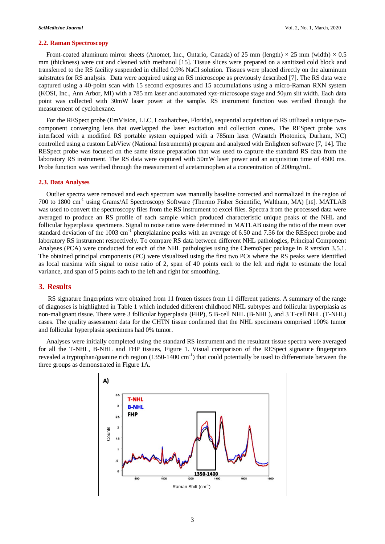#### **2.2. Raman Spectroscopy**

Front-coated aluminum mirror sheets (Anomet, Inc., Ontario, Canada) of 25 mm (length)  $\times$  25 mm (width)  $\times$  0.5 mm (thickness) were cut and cleaned with methanol [15]. Tissue slices were prepared on a sanitized cold block and transferred to the RS facility suspended in chilled 0.9% NaCl solution. Tissues were placed directly on the aluminum substrates for RS analysis. Data were acquired using an RS microscope as previously described [7]. The RS data were captured using a 40-point scan with 15 second exposures and 15 accumulations using a micro-Raman RXN system (KOSI, Inc., Ann Arbor, MI) with a 785 nm laser and automated xyz-microscope stage and 50μm slit width. Each data point was collected with 30mW laser power at the sample. RS instrument function was verified through the measurement of cyclohexane.

For the RESpect probe (EmVision, LLC, Loxahatchee, Florida), sequential acquisition of RS utilized a unique twocomponent converging lens that overlapped the laser excitation and collection cones. The RESpect probe was interfaced with a modified RS portable system equipped with a 785nm laser (Wasatch Photonics, Durham, NC) controlled using a custom LabView (National Instruments) program and analyzed with Enlighten software [7, 14]. The RESpect probe was focused on the same tissue preparation that was used to capture the standard RS data from the laboratory RS instrument. The RS data were captured with 50mW laser power and an acquisition time of 4500 ms. Probe function was verified through the measurement of acetaminophen at a concentration of 200mg/mL.

#### **2.3. Data Analyses**

Outlier spectra were removed and each spectrum was manually baseline corrected and normalized in the region of 700 to 1800 cm<sup>-1</sup> using Grams/AI Spectroscopy Software (Thermo Fisher Scientific, Waltham, MA) [[16](file:///C:/Users/Dear%20User/Desktop/Publish%20SciMed/vol2,%20issue1/85-226-1-RV.docx%23_ENREF_16)]. MATLAB was used to convert the spectroscopy files from the RS instrument to excel files. Spectra from the processed data were averaged to produce an RS profile of each sample which produced characteristic unique peaks of the NHL and follicular hyperplasia specimens. Signal to noise ratios were determined in MATLAB using the ratio of the mean over standard deviation of the 1003 cm<sup>-1</sup> phenylalanine peaks with an average of 6.50 and 7.56 for the RESpect probe and laboratory RS instrument respectively. To compare RS data between different NHL pathologies, Principal Component Analyses (PCA) were conducted for each of the NHL pathologies using the ChemoSpec package in R version 3.5.1. The obtained principal components (PC) were visualized using the first two PCs where the RS peaks were identified as local maxima with signal to noise ratio of 2, span of 40 points each to the left and right to estimate the local variance, and span of 5 points each to the left and right for smoothing.

#### **3. Results**

RS signature fingerprints were obtained from 11 frozen tissues from 11 different patients. A summary of the range of diagnoses is highlighted in Table 1 which included different childhood NHL subtypes and follicular hyperplasia as non-malignant tissue. There were 3 follicular hyperplasia (FHP), 5 B-cell NHL (B-NHL), and 3 T-cell NHL (T-NHL) cases. The quality assessment data for the CHTN tissue confirmed that the NHL specimens comprised 100% tumor and follicular hyperplasia specimens had 0% tumor.

Analyses were initially completed using the standard RS instrument and the resultant tissue spectra were averaged for all the T-NHL, B-NHL and FHP tissues, Figure 1. Visual comparison of the RESpect signature fingerprints revealed a tryptophan/guanine rich region  $(1350-1400 \text{ cm}^{-1})$  that could potentially be used to differentiate between the three groups as demonstrated in Figure 1A.

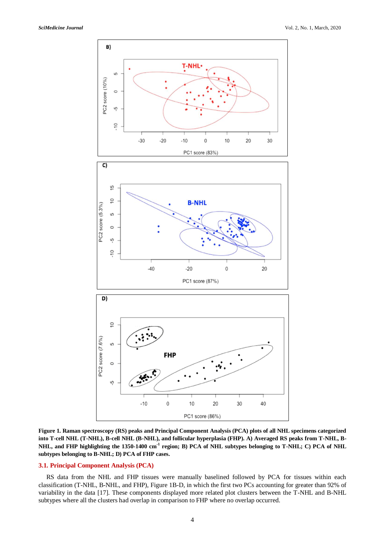

**Figure 1. Raman spectroscopy (RS) peaks and Principal Component Analysis (PCA) plots of all NHL specimens categorized into T-cell NHL (T-NHL), B-cell NHL (B-NHL), and follicular hyperplasia (FHP). A) Averaged RS peaks from T-NHL, B-NHL, and FHP highlighting the 1350-1400 cm-1 region; B) PCA of NHL subtypes belonging to T-NHL; C) PCA of NHL subtypes belonging to B-NHL; D) PCA of FHP cases.**

#### **3.1. Principal Component Analysis (PCA)**

RS data from the NHL and FHP tissues were manually baselined followed by PCA for tissues within each classification (T-NHL, B-NHL, and FHP), Figure 1B-D, in which the first two PCs accounting for greater than 92% of variability in the data [17]. These components displayed more related plot clusters between the T-NHL and B-NHL subtypes where all the clusters had overlap in comparison to FHP where no overlap occurred.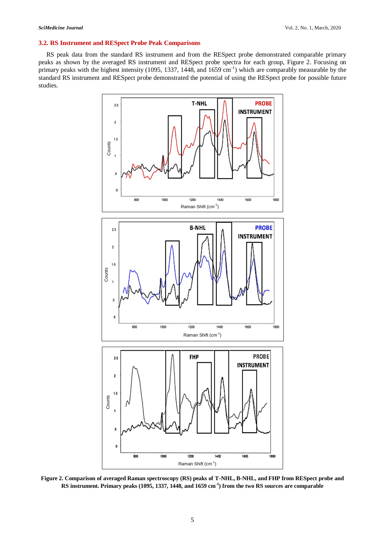### **3.2. RS Instrument and RESpect Probe Peak Comparisons**

RS peak data from the standard RS instrument and from the RESpect probe demonstrated comparable primary peaks as shown by the averaged RS instrument and RESpect probe spectra for each group, Figure 2. Focusing on primary peaks with the highest intensity (1095, 1337, 1448, and 1659 cm<sup>-1</sup>) which are comparably measurable by the standard RS instrument and RESpect probe demonstrated the potential of using the RESpect probe for possible future studies.



**Figure 2. Comparison of averaged Raman spectroscopy (RS) peaks of T-NHL, B-NHL, and FHP from RESpect probe and RS instrument. Primary peaks (1095, 1337, 1448, and 1659 cm-1 ) from the two RS sources are comparable**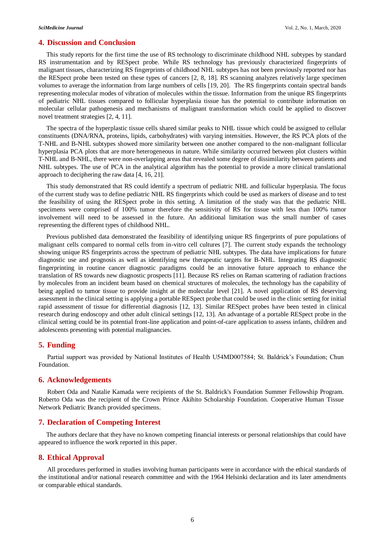#### **4. Discussion and Conclusion**

This study reports for the first time the use of RS technology to discriminate childhood NHL subtypes by standard RS instrumentation and by RESpect probe. While RS technology has previously characterized fingerprints of malignant tissues, characterizing RS fingerprints of childhood NHL subtypes has not been previously reported nor has the RESpect probe been tested on these types of cancers [2, 8, 18]. RS scanning analyzes relatively large specimen volumes to average the information from large numbers of cells [19, 20]. The RS fingerprints contain spectral bands representing molecular modes of vibration of molecules within the tissue. Information from the unique RS fingerprints of pediatric NHL tissues compared to follicular hyperplasia tissue has the potential to contribute information on molecular cellular pathogenesis and mechanisms of malignant transformation which could be applied to discover novel treatment strategies [2, 4, 11].

The spectra of the hyperplastic tissue cells shared similar peaks to NHL tissue which could be assigned to cellular constituents (DNA/RNA, proteins, lipids, carbohydrates) with varying intensities. However, the RS PCA plots of the T-NHL and B-NHL subtypes showed more similarity between one another compared to the non-malignant follicular hyperplasia PCA plots that are more heterogeneous in nature. While similarity occurred between plot clusters within T-NHL and B-NHL, there were non-overlapping areas that revealed some degree of dissimilarity between patients and NHL subtypes. The use of PCA in the analytical algorithm has the potential to provide a more clinical translational approach to deciphering the raw data [4, 16, 21].

This study demonstrated that RS could identify a spectrum of pediatric NHL and follicular hyperplasia. The focus of the current study was to define pediatric NHL RS fingerprints which could be used as markers of disease and to test the feasibility of using the RESpect probe in this setting. A limitation of the study was that the pediatric NHL specimens were comprised of 100% tumor therefore the sensitivity of RS for tissue with less than 100% tumor involvement will need to be assessed in the future. An additional limitation was the small number of cases representing the different types of childhood NHL.

Previous published data demonstrated the feasibility of identifying unique RS fingerprints of pure populations of malignant cells compared to normal cells from in-vitro cell cultures [7]. The current study expands the technology showing unique RS fingerprints across the spectrum of pediatric NHL subtypes. The data have implications for future diagnostic use and prognosis as well as identifying new therapeutic targets for B-NHL. Integrating RS diagnostic fingerprinting in routine cancer diagnostic paradigms could be an innovative future approach to enhance the translation of RS towards new diagnostic prospects [11]. Because RS relies on Raman scattering of radiation fractions by molecules from an incident beam based on chemical structures of molecules, the technology has the capability of being applied to tumor tissue to provide insight at the molecular level [21]. A novel application of RS deserving assessment in the clinical setting is applying a portable RESpect probe that could be used in the clinic setting for initial rapid assessment of tissue for differential diagnosis [12, 13]. Similar RESpect probes have been tested in clinical research during endoscopy and other adult clinical settings [12, 13]. An advantage of a portable RESpect probe in the clinical setting could be its potential front-line application and point-of-care application to assess infants, children and adolescents presenting with potential malignancies.

### **5. Funding**

Partial support was provided by National Institutes of Health U54MD007584; St. Baldrick's Foundation; Chun Foundation.

#### **6. Acknowledgements**

Robert Oda and Natalie Kamada were recipients of the St. Baldrick's Foundation Summer Fellowship Program. Roberto Oda was the recipient of the Crown Prince Akihito Scholarship Foundation. Cooperative Human Tissue Network Pediatric Branch provided specimens.

### **7. Declaration of Competing Interest**

The authors declare that they have no known competing financial interests or personal relationships that could have appeared to influence the work reported in this paper.

#### **8. Ethical Approval**

All procedures performed in studies involving human participants were in accordance with the ethical standards of the institutional and/or national research committee and with the 1964 Helsinki declaration and its later amendments or comparable ethical standards.